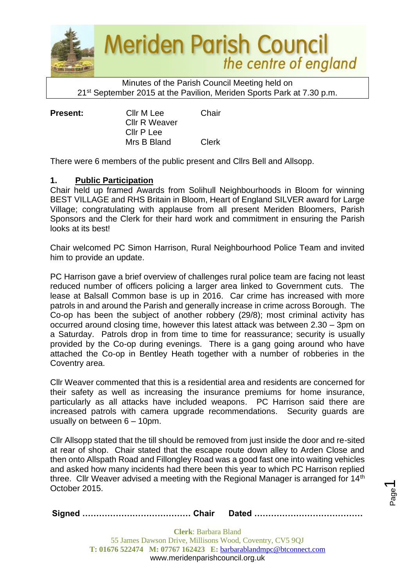

Minutes of the Parish Council Meeting held on 21st September 2015 at the Pavilion, Meriden Sports Park at 7.30 p.m.

**Present:** Cllr M Lee Chair Cllr R Weaver Cllr P Lee Mrs B Bland Clerk

There were 6 members of the public present and Cllrs Bell and Allsopp.

# **1. Public Participation**

Chair held up framed Awards from Solihull Neighbourhoods in Bloom for winning BEST VILLAGE and RHS Britain in Bloom, Heart of England SILVER award for Large Village; congratulating with applause from all present Meriden Bloomers, Parish Sponsors and the Clerk for their hard work and commitment in ensuring the Parish looks at its best!

Chair welcomed PC Simon Harrison, Rural Neighbourhood Police Team and invited him to provide an update.

PC Harrison gave a brief overview of challenges rural police team are facing not least reduced number of officers policing a larger area linked to Government cuts. The lease at Balsall Common base is up in 2016. Car crime has increased with more patrols in and around the Parish and generally increase in crime across Borough. The Co-op has been the subject of another robbery (29/8); most criminal activity has occurred around closing time, however this latest attack was between 2.30 – 3pm on a Saturday. Patrols drop in from time to time for reassurance; security is usually provided by the Co-op during evenings. There is a gang going around who have attached the Co-op in Bentley Heath together with a number of robberies in the Coventry area.

Cllr Weaver commented that this is a residential area and residents are concerned for their safety as well as increasing the insurance premiums for home insurance, particularly as all attacks have included weapons. PC Harrison said there are increased patrols with camera upgrade recommendations. Security guards are usually on between 6 – 10pm.

Cllr Allsopp stated that the till should be removed from just inside the door and re-sited at rear of shop. Chair stated that the escape route down alley to Arden Close and then onto Allspath Road and Fillongley Road was a good fast one into waiting vehicles and asked how many incidents had there been this year to which PC Harrison replied three. Cllr Weaver advised a meeting with the Regional Manager is arranged for 14<sup>th</sup> October 2015.

|--|--|--|

Page  $\overline{\phantom{0}}$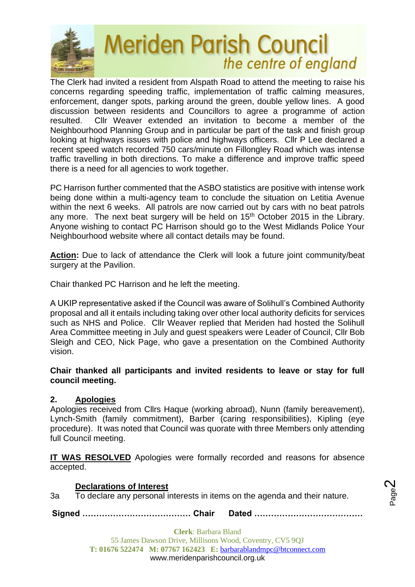

The Clerk had invited a resident from Alspath Road to attend the meeting to raise his concerns regarding speeding traffic, implementation of traffic calming measures, enforcement, danger spots, parking around the green, double yellow lines. A good discussion between residents and Councillors to agree a programme of action resulted. Cllr Weaver extended an invitation to become a member of the Neighbourhood Planning Group and in particular be part of the task and finish group looking at highways issues with police and highways officers. Cllr P Lee declared a recent speed watch recorded 750 cars/minute on Fillongley Road which was intense traffic travelling in both directions. To make a difference and improve traffic speed there is a need for all agencies to work together.

PC Harrison further commented that the ASBO statistics are positive with intense work being done within a multi-agency team to conclude the situation on Letitia Avenue within the next 6 weeks. All patrols are now carried out by cars with no beat patrols any more. The next beat surgery will be held on 15<sup>th</sup> October 2015 in the Library. Anyone wishing to contact PC Harrison should go to the West Midlands Police Your Neighbourhood website where all contact details may be found.

**Action:** Due to lack of attendance the Clerk will look a future joint community/beat surgery at the Pavilion.

Chair thanked PC Harrison and he left the meeting.

A UKIP representative asked if the Council was aware of Solihull's Combined Authority proposal and all it entails including taking over other local authority deficits for services such as NHS and Police. Cllr Weaver replied that Meriden had hosted the Solihull Area Committee meeting in July and guest speakers were Leader of Council, Cllr Bob Sleigh and CEO, Nick Page, who gave a presentation on the Combined Authority vision.

**Chair thanked all participants and invited residents to leave or stay for full council meeting.** 

## **2. Apologies**

Apologies received from Cllrs Haque (working abroad), Nunn (family bereavement), Lynch-Smith (family commitment), Barber (caring responsibilities), Kipling (eye procedure). It was noted that Council was quorate with three Members only attending full Council meeting.

**IT WAS RESOLVED** Apologies were formally recorded and reasons for absence accepted.

# **Declarations of Interest**

3a To declare any personal interests in items on the agenda and their nature.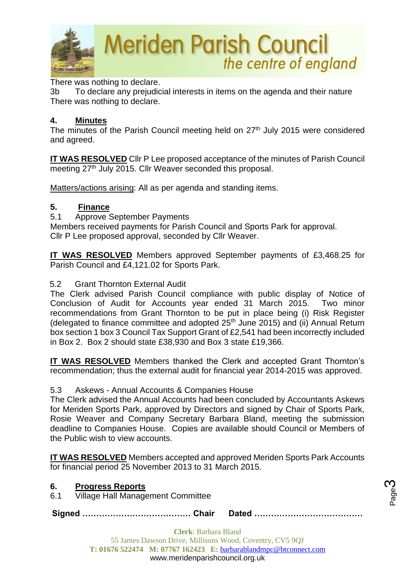

There was nothing to declare.

3b To declare any prejudicial interests in items on the agenda and their nature There was nothing to declare.

#### **4. Minutes**

The minutes of the Parish Council meeting held on 27<sup>th</sup> July 2015 were considered and agreed.

**IT WAS RESOLVED** Cllr P Lee proposed acceptance of the minutes of Parish Council meeting 27<sup>th</sup> July 2015. Cllr Weaver seconded this proposal.

Matters/actions arising: All as per agenda and standing items.

## **5. Finance**

5.1 Approve September Payments

Members received payments for Parish Council and Sports Park for approval. Cllr P Lee proposed approval, seconded by Cllr Weaver.

**IT WAS RESOLVED** Members approved September payments of £3,468.25 for Parish Council and £4,121.02 for Sports Park.

## 5.2 Grant Thornton External Audit

The Clerk advised Parish Council compliance with public display of Notice of Conclusion of Audit for Accounts year ended 31 March 2015. Two minor recommendations from Grant Thornton to be put in place being (i) Risk Register (delegated to finance committee and adopted  $25<sup>th</sup>$  June 2015) and (ii) Annual Return box section 1 box 3 Council Tax Support Grant of £2,541 had been incorrectly included in Box 2. Box 2 should state £38,930 and Box 3 state £19,366.

**IT WAS RESOLVED** Members thanked the Clerk and accepted Grant Thornton's recommendation; thus the external audit for financial year 2014-2015 was approved.

#### 5.3 Askews - Annual Accounts & Companies House

The Clerk advised the Annual Accounts had been concluded by Accountants Askews for Meriden Sports Park, approved by Directors and signed by Chair of Sports Park, Rosie Weaver and Company Secretary Barbara Bland, meeting the submission deadline to Companies House. Copies are available should Council or Members of the Public wish to view accounts.

**IT WAS RESOLVED** Members accepted and approved Meriden Sports Park Accounts for financial period 25 November 2013 to 31 March 2015.

## **6. Progress Reports**

6.1 Village Hall Management Committee

**Signed ………………………………… Chair Dated …………………………………**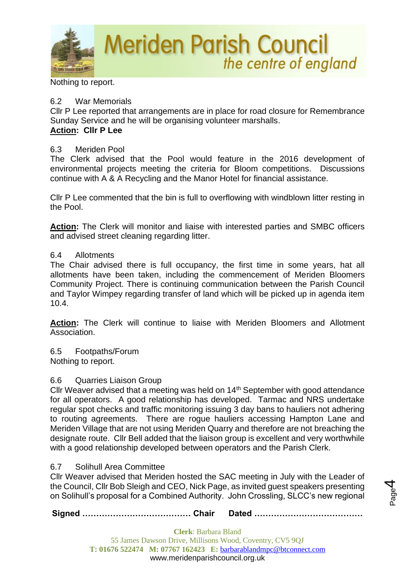

Nothing to report.

## 6.2 War Memorials

Cllr P Lee reported that arrangements are in place for road closure for Remembrance Sunday Service and he will be organising volunteer marshalls.

the centre of england

## **Action: Cllr P Lee**

## 6.3 Meriden Pool

The Clerk advised that the Pool would feature in the 2016 development of environmental projects meeting the criteria for Bloom competitions. Discussions continue with A & A Recycling and the Manor Hotel for financial assistance.

Cllr P Lee commented that the bin is full to overflowing with windblown litter resting in the Pool.

**Action:** The Clerk will monitor and liaise with interested parties and SMBC officers and advised street cleaning regarding litter.

## 6.4 Allotments

The Chair advised there is full occupancy, the first time in some years, hat all allotments have been taken, including the commencement of Meriden Bloomers Community Project. There is continuing communication between the Parish Council and Taylor Wimpey regarding transfer of land which will be picked up in agenda item 10.4.

**Action:** The Clerk will continue to liaise with Meriden Bloomers and Allotment Association.

6.5 Footpaths/Forum Nothing to report.

## 6.6 Quarries Liaison Group

Cllr Weaver advised that a meeting was held on 14<sup>th</sup> September with good attendance for all operators. A good relationship has developed. Tarmac and NRS undertake regular spot checks and traffic monitoring issuing 3 day bans to hauliers not adhering to routing agreements. There are rogue hauliers accessing Hampton Lane and Meriden Village that are not using Meriden Quarry and therefore are not breaching the designate route. Cllr Bell added that the liaison group is excellent and very worthwhile with a good relationship developed between operators and the Parish Clerk.

## 6.7 Solihull Area Committee

Cllr Weaver advised that Meriden hosted the SAC meeting in July with the Leader of the Council, Cllr Bob Sleigh and CEO, Nick Page, as invited guest speakers presenting on Solihull's proposal for a Combined Authority. John Crossling, SLCC's new regional

**Signed ………………………………… Chair Dated …………………………………**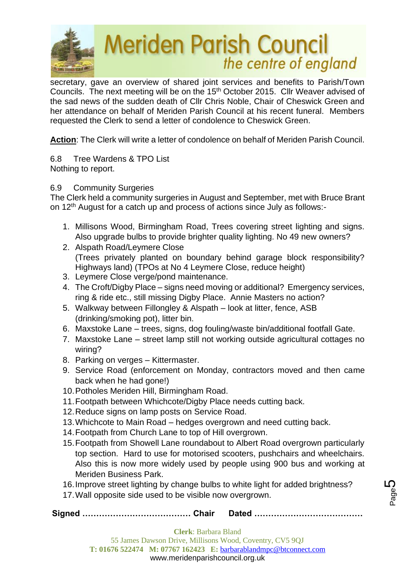

secretary, gave an overview of shared joint services and benefits to Parish/Town Councils. The next meeting will be on the 15th October 2015. Cllr Weaver advised of the sad news of the sudden death of Cllr Chris Noble, Chair of Cheswick Green and her attendance on behalf of Meriden Parish Council at his recent funeral. Members requested the Clerk to send a letter of condolence to Cheswick Green.

**Action**: The Clerk will write a letter of condolence on behalf of Meriden Parish Council.

6.8 Tree Wardens & TPO List Nothing to report.

## 6.9 Community Surgeries

The Clerk held a community surgeries in August and September, met with Bruce Brant on 12th August for a catch up and process of actions since July as follows:-

- 1. Millisons Wood, Birmingham Road, Trees covering street lighting and signs. Also upgrade bulbs to provide brighter quality lighting. No 49 new owners?
- 2. Alspath Road/Leymere Close (Trees privately planted on boundary behind garage block responsibility? Highways land) (TPOs at No 4 Leymere Close, reduce height)
- 3. Leymere Close verge/pond maintenance.
- 4. The Croft/Digby Place signs need moving or additional? Emergency services, ring & ride etc., still missing Digby Place. Annie Masters no action?
- 5. Walkway between Fillongley & Alspath look at litter, fence, ASB (drinking/smoking pot), litter bin.
- 6. Maxstoke Lane trees, signs, dog fouling/waste bin/additional footfall Gate.
- 7. Maxstoke Lane street lamp still not working outside agricultural cottages no wiring?
- 8. Parking on verges Kittermaster.
- 9. Service Road (enforcement on Monday, contractors moved and then came back when he had gone!)
- 10.Potholes Meriden Hill, Birmingham Road.
- 11.Footpath between Whichcote/Digby Place needs cutting back.
- 12.Reduce signs on lamp posts on Service Road.
- 13.Whichcote to Main Road hedges overgrown and need cutting back.
- 14.Footpath from Church Lane to top of Hill overgrown.
- 15.Footpath from Showell Lane roundabout to Albert Road overgrown particularly top section. Hard to use for motorised scooters, pushchairs and wheelchairs. Also this is now more widely used by people using 900 bus and working at Meriden Business Park.
- 16.Improve street lighting by change bulbs to white light for added brightness?
- 17.Wall opposite side used to be visible now overgrown.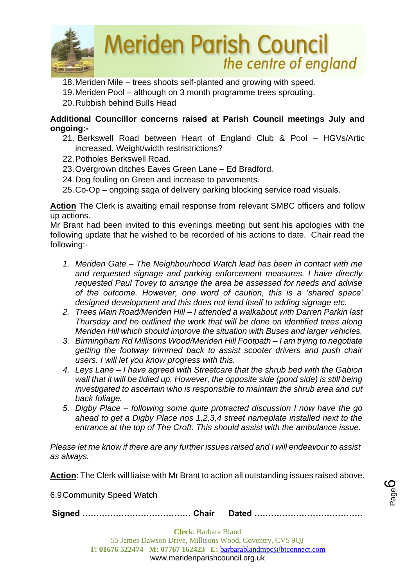

18.Meriden Mile – trees shoots self-planted and growing with speed.

19.Meriden Pool – although on 3 month programme trees sprouting.

20.Rubbish behind Bulls Head

## **Additional Councillor concerns raised at Parish Council meetings July and ongoing:-**

- 21. Berkswell Road between Heart of England Club & Pool HGVs/Artic increased. Weight/width restristrictions?
- 22.Potholes Berkswell Road.
- 23.Overgrown ditches Eaves Green Lane Ed Bradford.
- 24.Dog fouling on Green and increase to pavements.
- 25.Co-Op ongoing saga of delivery parking blocking service road visuals.

**Action** The Clerk is awaiting email response from relevant SMBC officers and follow up actions.

Mr Brant had been invited to this evenings meeting but sent his apologies with the following update that he wished to be recorded of his actions to date. Chair read the following:-

- *1. Meriden Gate – The Neighbourhood Watch lead has been in contact with me and requested signage and parking enforcement measures. I have directly requested Paul Tovey to arrange the area be assessed for needs and advise of the outcome. However, one word of caution, this is a 'shared space' designed development and this does not lend itself to adding signage etc.*
- *2. Trees Main Road/Meriden Hill – I attended a walkabout with Darren Parkin last Thursday and he outlined the work that will be done on identified trees along Meriden Hill which should improve the situation with Buses and larger vehicles.*
- *3. Birmingham Rd Millisons Wood/Meriden Hill Footpath – I am trying to negotiate getting the footway trimmed back to assist scooter drivers and push chair users. I will let you know progress with this.*
- *4. Leys Lane – I have agreed with Streetcare that the shrub bed with the Gabion wall that it will be tidied up. However, the opposite side (pond side) is still being investigated to ascertain who is responsible to maintain the shrub area and cut back foliage.*
- *5. Digby Place – following some quite protracted discussion I now have the go ahead to get a Digby Place nos 1,2,3,4 street nameplate installed next to the entrance at the top of The Croft. This should assist with the ambulance issue.*

*Please let me know if there are any further issues raised and I will endeavour to assist as always.*

**Action**: The Clerk will liaise with Mr Brant to action all outstanding issues raised above.

6.9Community Speed Watch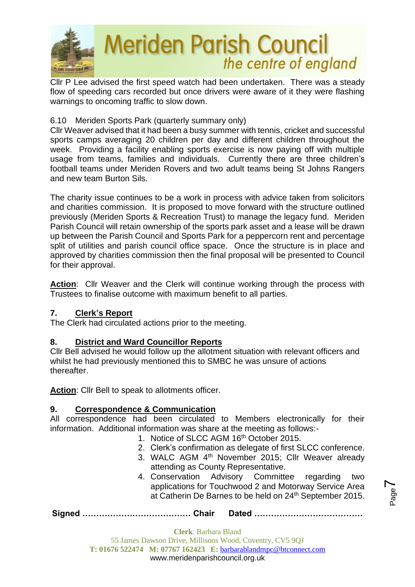

Cllr P Lee advised the first speed watch had been undertaken. There was a steady flow of speeding cars recorded but once drivers were aware of it they were flashing warnings to oncoming traffic to slow down.

# 6.10 Meriden Sports Park (quarterly summary only)

Cllr Weaver advised that it had been a busy summer with tennis, cricket and successful sports camps averaging 20 children per day and different children throughout the week. Providing a facility enabling sports exercise is now paying off with multiple usage from teams, families and individuals. Currently there are three children's football teams under Meriden Rovers and two adult teams being St Johns Rangers and new team Burton Sils.

The charity issue continues to be a work in process with advice taken from solicitors and charities commission. It is proposed to move forward with the structure outlined previously (Meriden Sports & Recreation Trust) to manage the legacy fund. Meriden Parish Council will retain ownership of the sports park asset and a lease will be drawn up between the Parish Council and Sports Park for a peppercorn rent and percentage split of utilities and parish council office space. Once the structure is in place and approved by charities commission then the final proposal will be presented to Council for their approval.

**Action**: Cllr Weaver and the Clerk will continue working through the process with Trustees to finalise outcome with maximum benefit to all parties.

# **7. Clerk's Report**

The Clerk had circulated actions prior to the meeting.

# **8. District and Ward Councillor Reports**

Cllr Bell advised he would follow up the allotment situation with relevant officers and whilst he had previously mentioned this to SMBC he was unsure of actions thereafter.

**Action**: Cllr Bell to speak to allotments officer.

# **9. Correspondence & Communication**

All correspondence had been circulated to Members electronically for their information. Additional information was share at the meeting as follows:-

- 1. Notice of SLCC AGM 16<sup>th</sup> October 2015.
- 2. Clerk's confirmation as delegate of first SLCC conference. 3. WALC AGM 4<sup>th</sup> November 2015; Cllr Weaver already
- attending as County Representative.
- 4. Conservation Advisory Committee regarding two applications for Touchwood 2 and Motorway Service Area at Catherin De Barnes to be held on 24<sup>th</sup> September 2015.
- **Signed ………………………………… Chair Dated …………………………………**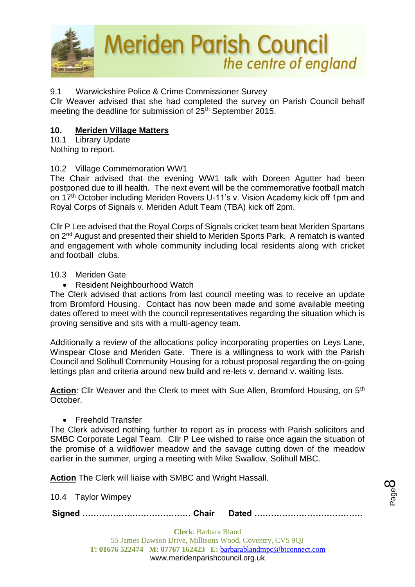

## 9.1 Warwickshire Police & Crime Commissioner Survey

Cllr Weaver advised that she had completed the survey on Parish Council behalf meeting the deadline for submission of  $25<sup>th</sup>$  September 2015.

## **10. Meriden Village Matters**

10.1 Library Update Nothing to report.

## 10.2 Village Commemoration WW1

The Chair advised that the evening WW1 talk with Doreen Agutter had been postponed due to ill health. The next event will be the commemorative football match on 17th October including Meriden Rovers U-11's v. Vision Academy kick off 1pm and Royal Corps of Signals v. Meriden Adult Team (TBA) kick off 2pm.

Cllr P Lee advised that the Royal Corps of Signals cricket team beat Meriden Spartans on 2nd August and presented their shield to Meriden Sports Park. A rematch is wanted and engagement with whole community including local residents along with cricket and football clubs.

#### 10.3 Meriden Gate

• Resident Neighbourhood Watch

The Clerk advised that actions from last council meeting was to receive an update from Bromford Housing. Contact has now been made and some available meeting dates offered to meet with the council representatives regarding the situation which is proving sensitive and sits with a multi-agency team.

Additionally a review of the allocations policy incorporating properties on Leys Lane, Winspear Close and Meriden Gate. There is a willingness to work with the Parish Council and Solihull Community Housing for a robust proposal regarding the on-going lettings plan and criteria around new build and re-lets v. demand v. waiting lists.

Action: Cllr Weaver and the Clerk to meet with Sue Allen, Bromford Housing, on 5<sup>th</sup> October.

• Freehold Transfer

The Clerk advised nothing further to report as in process with Parish solicitors and SMBC Corporate Legal Team. Cllr P Lee wished to raise once again the situation of the promise of a wildflower meadow and the savage cutting down of the meadow earlier in the summer, urging a meeting with Mike Swallow, Solihull MBC.

**Action** The Clerk will liaise with SMBC and Wright Hassall.

10.4 Taylor Wimpey

**Signed ………………………………… Chair Dated …………………………………**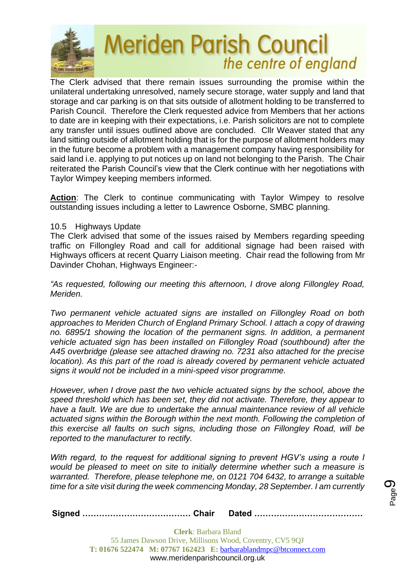

The Clerk advised that there remain issues surrounding the promise within the unilateral undertaking unresolved, namely secure storage, water supply and land that storage and car parking is on that sits outside of allotment holding to be transferred to Parish Council. Therefore the Clerk requested advice from Members that her actions to date are in keeping with their expectations, i.e. Parish solicitors are not to complete any transfer until issues outlined above are concluded. Cllr Weaver stated that any land sitting outside of allotment holding that is for the purpose of allotment holders may in the future become a problem with a management company having responsibility for said land i.e. applying to put notices up on land not belonging to the Parish. The Chair reiterated the Parish Council's view that the Clerk continue with her negotiations with Taylor Wimpey keeping members informed.

Action: The Clerk to continue communicating with Taylor Wimpey to resolve outstanding issues including a letter to Lawrence Osborne, SMBC planning.

#### 10.5 Highways Update

The Clerk advised that some of the issues raised by Members regarding speeding traffic on Fillongley Road and call for additional signage had been raised with Highways officers at recent Quarry Liaison meeting. Chair read the following from Mr Davinder Chohan, Highways Engineer:-

*"As requested, following our meeting this afternoon, I drove along Fillongley Road, Meriden.* 

*Two permanent vehicle actuated signs are installed on Fillongley Road on both approaches to Meriden Church of England Primary School. I attach a copy of drawing no. 6895/1 showing the location of the permanent signs. In addition, a permanent vehicle actuated sign has been installed on Fillongley Road (southbound) after the A45 overbridge (please see attached drawing no. 7231 also attached for the precise location).* As this part of the road is already covered by permanent vehicle actuated *signs it would not be included in a mini-speed visor programme.*

*However, when I drove past the two vehicle actuated signs by the school, above the speed threshold which has been set, they did not activate. Therefore, they appear to have a fault. We are due to undertake the annual maintenance review of all vehicle actuated signs within the Borough within the next month. Following the completion of this exercise all faults on such signs, including those on Fillongley Road, will be reported to the manufacturer to rectify.*

*With regard, to the request for additional signing to prevent HGV's using a route I would be pleased to meet on site to initially determine whether such a measure is warranted. Therefore, please telephone me, on 0121 704 6432, to arrange a suitable time for a site visit during the week commencing Monday, 28 September. I am currently* 

**Signed ………………………………… Chair Dated …………………………………**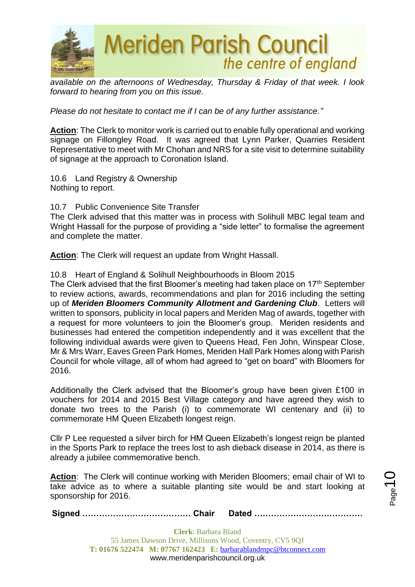

*available on the afternoons of Wednesday, Thursday & Friday of that week. I look forward to hearing from you on this issue.*

*Please do not hesitate to contact me if I can be of any further assistance."*

**Action**: The Clerk to monitor work is carried out to enable fully operational and working signage on Fillongley Road. It was agreed that Lynn Parker, Quarries Resident Representative to meet with Mr Chohan and NRS for a site visit to determine suitability of signage at the approach to Coronation Island.

10.6 Land Registry & Ownership Nothing to report.

10.7 Public Convenience Site Transfer

The Clerk advised that this matter was in process with Solihull MBC legal team and Wright Hassall for the purpose of providing a "side letter" to formalise the agreement and complete the matter.

**Action**: The Clerk will request an update from Wright Hassall.

#### 10.8 Heart of England & Solihull Neighbourhoods in Bloom 2015

The Clerk advised that the first Bloomer's meeting had taken place on 17<sup>th</sup> September to review actions, awards, recommendations and plan for 2016 including the setting up of *Meriden Bloomers Community Allotment and Gardening Club*. Letters will written to sponsors, publicity in local papers and Meriden Mag of awards, together with a request for more volunteers to join the Bloomer's group. Meriden residents and businesses had entered the competition independently and it was excellent that the following individual awards were given to Queens Head, Fen John, Winspear Close, Mr & Mrs Warr, Eaves Green Park Homes, Meriden Hall Park Homes along with Parish Council for whole village, all of whom had agreed to "get on board" with Bloomers for 2016.

Additionally the Clerk advised that the Bloomer's group have been given £100 in vouchers for 2014 and 2015 Best Village category and have agreed they wish to donate two trees to the Parish (i) to commemorate WI centenary and (ii) to commemorate HM Queen Elizabeth longest reign.

Cllr P Lee requested a silver birch for HM Queen Elizabeth's longest reign be planted in the Sports Park to replace the trees lost to ash dieback disease in 2014, as there is already a jubilee commemorative bench.

**Action**: The Clerk will continue working with Meriden Bloomers; email chair of WI to take advice as to where a suitable planting site would be and start looking at sponsorship for 2016.

**Signed ………………………………… Chair Dated …………………………………**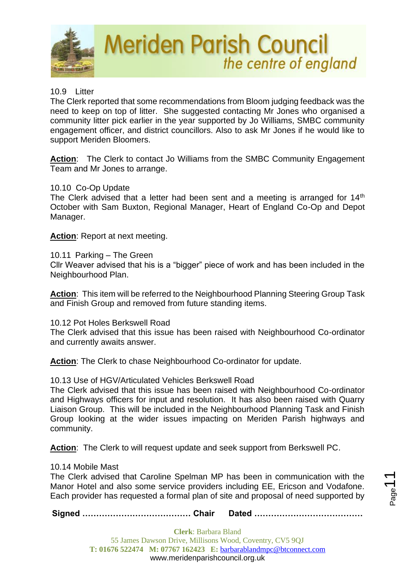

# 10.9 Litter

The Clerk reported that some recommendations from Bloom judging feedback was the need to keep on top of litter. She suggested contacting Mr Jones who organised a community litter pick earlier in the year supported by Jo Williams, SMBC community engagement officer, and district councillors. Also to ask Mr Jones if he would like to support Meriden Bloomers.

Action: The Clerk to contact Jo Williams from the SMBC Community Engagement Team and Mr Jones to arrange.

## 10.10 Co-Op Update

The Clerk advised that a letter had been sent and a meeting is arranged for 14<sup>th</sup> October with Sam Buxton, Regional Manager, Heart of England Co-Op and Depot Manager.

**Action**: Report at next meeting.

## 10.11 Parking – The Green

Cllr Weaver advised that his is a "bigger" piece of work and has been included in the Neighbourhood Plan.

**Action**: This item will be referred to the Neighbourhood Planning Steering Group Task and Finish Group and removed from future standing items.

## 10.12 Pot Holes Berkswell Road

The Clerk advised that this issue has been raised with Neighbourhood Co-ordinator and currently awaits answer.

Action: The Clerk to chase Neighbourhood Co-ordinator for update.

## 10.13 Use of HGV/Articulated Vehicles Berkswell Road

The Clerk advised that this issue has been raised with Neighbourhood Co-ordinator and Highways officers for input and resolution. It has also been raised with Quarry Liaison Group. This will be included in the Neighbourhood Planning Task and Finish Group looking at the wider issues impacting on Meriden Parish highways and community.

**Action**: The Clerk to will request update and seek support from Berkswell PC.

## 10.14 Mobile Mast

The Clerk advised that Caroline Spelman MP has been in communication with the Manor Hotel and also some service providers including EE, Ericson and Vodafone. Each provider has requested a formal plan of site and proposal of need supported by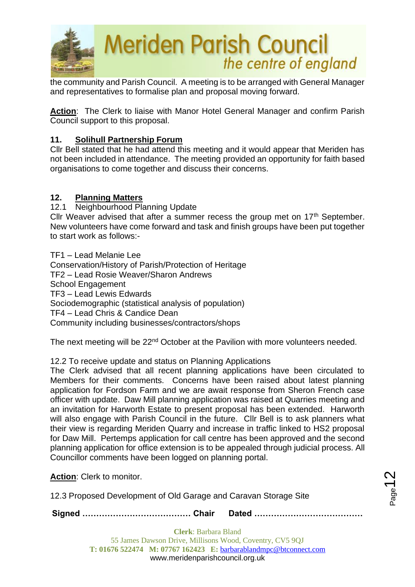

the community and Parish Council. A meeting is to be arranged with General Manager and representatives to formalise plan and proposal moving forward.

**Action**: The Clerk to liaise with Manor Hotel General Manager and confirm Parish Council support to this proposal.

## **11. Solihull Partnership Forum**

Cllr Bell stated that he had attend this meeting and it would appear that Meriden has not been included in attendance. The meeting provided an opportunity for faith based organisations to come together and discuss their concerns.

## **12. Planning Matters**

12.1 Neighbourhood Planning Update

Cllr Weaver advised that after a summer recess the group met on  $17<sup>th</sup>$  September. New volunteers have come forward and task and finish groups have been put together to start work as follows:-

TF1 – Lead Melanie Lee Conservation/History of Parish/Protection of Heritage TF2 – Lead Rosie Weaver/Sharon Andrews School Engagement TF3 – Lead Lewis Edwards Sociodemographic (statistical analysis of population) TF4 – Lead Chris & Candice Dean Community including businesses/contractors/shops

The next meeting will be 22<sup>nd</sup> October at the Pavilion with more volunteers needed.

12.2 To receive update and status on Planning Applications

The Clerk advised that all recent planning applications have been circulated to Members for their comments. Concerns have been raised about latest planning application for Fordson Farm and we are await response from Sheron French case officer with update. Daw Mill planning application was raised at Quarries meeting and an invitation for Harworth Estate to present proposal has been extended. Harworth will also engage with Parish Council in the future. Cllr Bell is to ask planners what their view is regarding Meriden Quarry and increase in traffic linked to HS2 proposal for Daw Mill. Pertemps application for call centre has been approved and the second planning application for office extension is to be appealed through judicial process. All Councillor comments have been logged on planning portal.

**Action**: Clerk to monitor.

12.3 Proposed Development of Old Garage and Caravan Storage Site

**Signed ………………………………… Chair Dated …………………………………**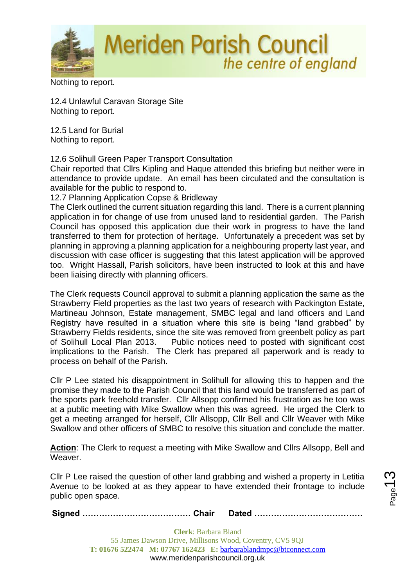

Nothing to report.

12.4 Unlawful Caravan Storage Site Nothing to report.

12.5 Land for Burial Nothing to report.

12.6 Solihull Green Paper Transport Consultation

Chair reported that Cllrs Kipling and Haque attended this briefing but neither were in attendance to provide update. An email has been circulated and the consultation is available for the public to respond to.

12.7 Planning Application Copse & Bridleway

The Clerk outlined the current situation regarding this land. There is a current planning application in for change of use from unused land to residential garden. The Parish Council has opposed this application due their work in progress to have the land transferred to them for protection of heritage. Unfortunately a precedent was set by planning in approving a planning application for a neighbouring property last year, and discussion with case officer is suggesting that this latest application will be approved too. Wright Hassall, Parish solicitors, have been instructed to look at this and have been liaising directly with planning officers.

The Clerk requests Council approval to submit a planning application the same as the Strawberry Field properties as the last two years of research with Packington Estate, Martineau Johnson, Estate management, SMBC legal and land officers and Land Registry have resulted in a situation where this site is being "land grabbed" by Strawberry Fields residents, since the site was removed from greenbelt policy as part of Solihull Local Plan 2013. Public notices need to posted with significant cost implications to the Parish. The Clerk has prepared all paperwork and is ready to process on behalf of the Parish.

Cllr P Lee stated his disappointment in Solihull for allowing this to happen and the promise they made to the Parish Council that this land would be transferred as part of the sports park freehold transfer. Cllr Allsopp confirmed his frustration as he too was at a public meeting with Mike Swallow when this was agreed. He urged the Clerk to get a meeting arranged for herself, Cllr Allsopp, Cllr Bell and Cllr Weaver with Mike Swallow and other officers of SMBC to resolve this situation and conclude the matter.

**Action**: The Clerk to request a meeting with Mike Swallow and Cllrs Allsopp, Bell and Weaver.

Cllr P Lee raised the question of other land grabbing and wished a property in Letitia Avenue to be looked at as they appear to have extended their frontage to include public open space.

**Signed ………………………………… Chair Dated …………………………………**